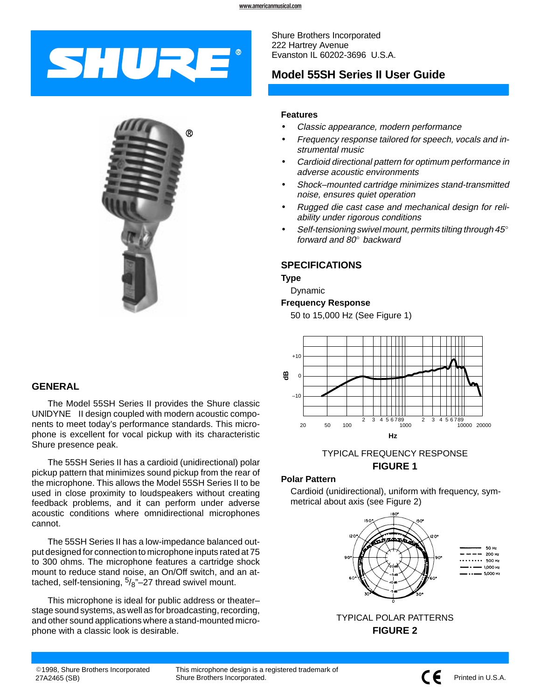# SHURE

**GENERAL**

The Model 55SH Series II provides the Shure classic UNIDYNE $<sup>®</sup>$  II design coupled with modern acoustic compo-</sup> nents to meet today's performance standards. This microphone is excellent for vocal pickup with its characteristic Shure presence peak.

The 55SH Series II has a cardioid (unidirectional) polar pickup pattern that minimizes sound pickup from the rear of the microphone. This allows the Model 55SH Series II to be used in close proximity to loudspeakers without creating feedback problems, and it can perform under adverse acoustic conditions where omnidirectional microphones cannot.

The 55SH Series II has a low-impedance balanced output designed for connection to microphone inputs rated at 75 to 300 ohms. The microphone features a cartridge shock mount to reduce stand noise, an On/Off switch, and an attached, self-tensioning,  $\frac{5}{8}$ "-27 thread swivel mount.

This microphone is ideal for public address or theater– stage sound systems, as well as for broadcasting, recording, and other sound applications where a stand-mounted microphone with a classic look is desirable.

Shure Brothers Incorporated 222 Hartrey Avenue Evanston IL 60202-3696 U.S.A.

# **Model 55SH Series II User Guide**

#### **Features**

- Classic appearance, modern performance
- Frequency response tailored for speech, vocals and instrumental music
- Cardioid directional pattern for optimum performance in adverse acoustic environments
- Shock–mounted cartridge minimizes stand-transmitted noise, ensures quiet operation
- Rugged die cast case and mechanical design for reliability under rigorous conditions
- Self-tensioning swivel mount, permits tilting through  $45^\circ$ forward and  $80^\circ$  backward

# **SPECIFICATIONS**

**Type**

Dynamic

# **Frequency Response**

50 to 15,000 Hz (See Figure 1)



# TYPICAL FREQUENCY RESPONSE **FIGURE 1**

# **Polar Pattern**

Cardioid (unidirectional), uniform with frequency, symmetrical about axis (see Figure 2)





This microphone design is a registered trademark of Shure Brothers Incorporated.